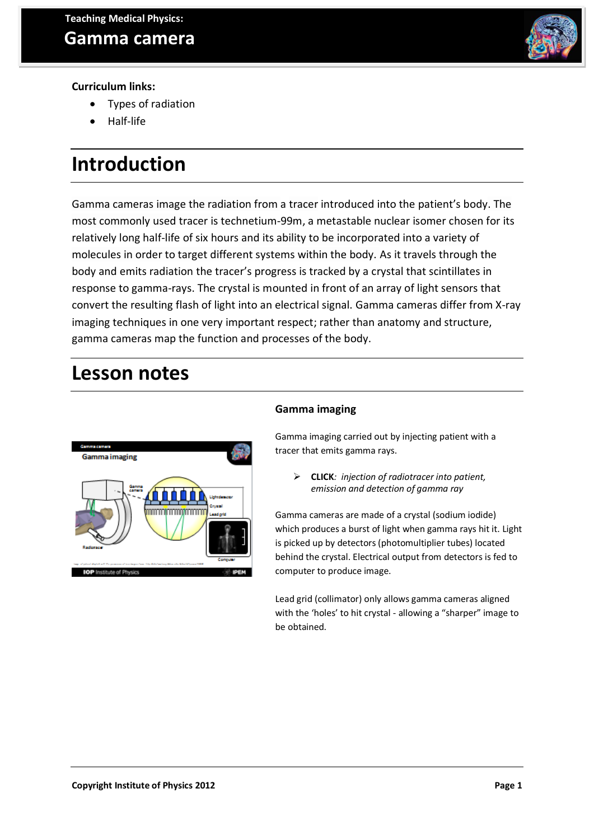

#### **Curriculum links:**

- Types of radiation
- Half-life

## **Introduction**

Gamma cameras image the radiation from a tracer introduced into the patient's body. The most commonly used tracer is technetium-99m, a metastable nuclear isomer chosen for its relatively long half-life of six hours and its ability to be incorporated into a variety of molecules in order to target different systems within the body. As it travels through the body and emits radiation the tracer's progress is tracked by a crystal that scintillates in response to gamma-rays. The crystal is mounted in front of an array of light sensors that convert the resulting flash of light into an electrical signal. Gamma cameras differ from X-ray imaging techniques in one very important respect; rather than anatomy and structure, gamma cameras map the function and processes of the body.

## **Lesson notes**



#### **Gamma imaging**

Gamma imaging carried out by injecting patient with a tracer that emits gamma rays.

 **CLICK***: injection of radiotracer into patient, emission and detection of gamma ray*

Gamma cameras are made of a crystal (sodium iodide) which produces a burst of light when gamma rays hit it. Light is picked up by detectors (photomultiplier tubes) located behind the crystal. Electrical output from detectors is fed to computer to produce image.

Lead grid (collimator) only allows gamma cameras aligned with the 'holes' to hit crystal - allowing a "sharper" image to be obtained.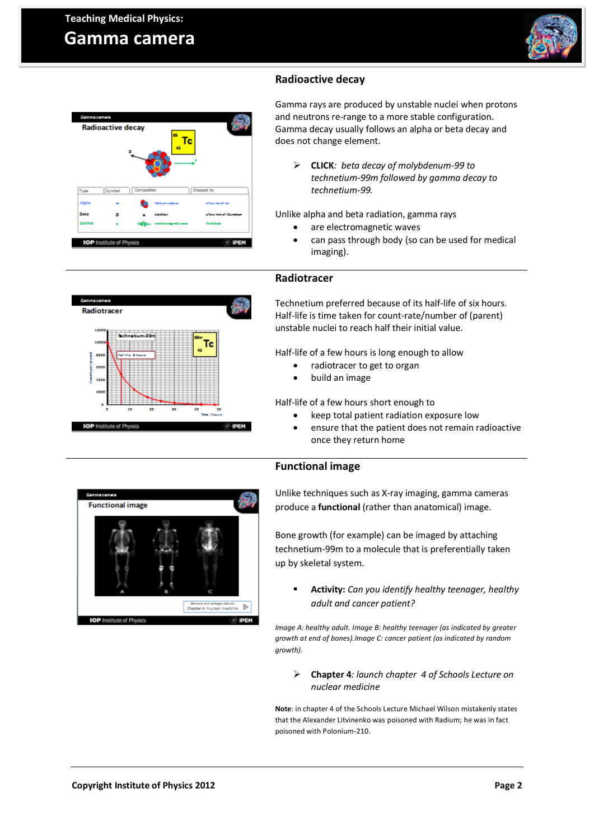### **Gamma camera**

**Radioactive decay** 

 $\sqrt{s_{\text{sym}}}$ 

**LOP** Institute of Physics

×

Type

Dara



#### **Radioactive decay**

Gamma rays are produced by unstable nuclei when protons and neutrons re-range to a more stable configuration. Gamma decay usually follows an alpha or beta decay and does not change element.

 **CLICK***: beta decay of molybdenum-99 to technetium-99m followed by gamma decay to technetium-99.* 

Unlike alpha and beta radiation, gamma rays

- are electromagnetic waves
- can pass through body (so can be used for medical imaging).

#### **Radiotracer**

**DEM** 

Technetium preferred because of its half-life of six hours. Half-life is time taken for count-rate/number of (parent) unstable nuclei to reach half their initial value.

Half-life of a few hours is long enough to allow

- radiotracer to get to organ
- build an image

Half-life of a few hours short enough to

- keep total patient radiation exposure low
- ensure that the patient does not remain radioactive once they return home

#### **Functional image**

Unlike techniques such as X-ray imaging, gamma cameras produce a **functional** (rather than anatomical) image.

Bone growth (for example) can be imaged by attaching technetium-99m to a molecule that is preferentially taken up by skeletal system.

 **Activity:** *Can you identify healthy teenager, healthy adult and cancer patient?*

*Image A: healthy adult. Image B: healthy teenager (as indicated by greater growth at end of bones).Image C: cancer patient (as indicated by random growth).*

 **Chapter 4***: launch chapter 4 of Schools Lecture on nuclear medicine*

**Note**: in chapter 4 of the Schools Lecture Michael Wilson mistakenly states that the Alexander Litvinenko was poisoned with Radium; he was in fact poisoned with Polonium-210.